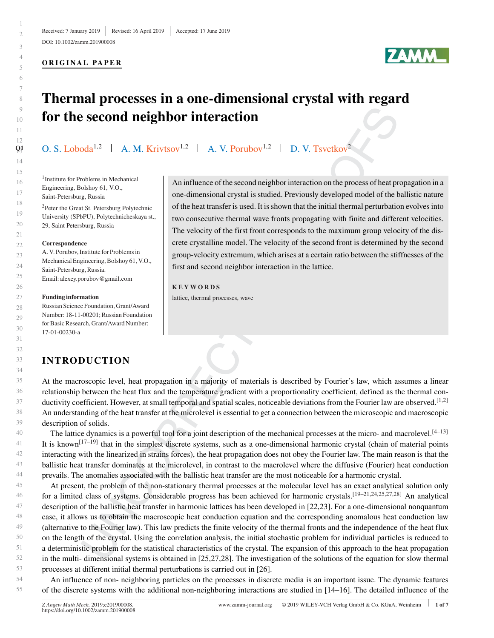DOI: 10.1002/zamm.201900008

#### **ORIGINAL PAPER**

# **ZAMM**

# **Thermal processes in a one-dimensional crystal with regard for the second neighbor interaction**

O. S. Loboda<sup>1,2</sup> | A. M. Krivtsov<sup>1,2</sup> | A. V. Porubov<sup>1,2</sup> | D. V. Tsvetkov<sup>2</sup>

<sup>1</sup>Institute for Problems in Mechanical Engineering, Bolshoy 61, V.O., Saint-Petersburg, Russia 2Peter the Great St. Petersburg Polytechnic University (SPbPU), Polytechnicheskaya st., 29, Saint Petersburg, Russia

#### **Correspondence**

A. V. Porubov, Institute for Problems in Mechanical Engineering, Bolshoy 61, V.O., Saint-Petersburg, Russia. Email: alexey.porubov@gmail.com

#### **Funding information**

Russian Science Foundation, Grant/Award Number: 18-11-00201; Russian Foundation for Basic Research, Grant/Award Number: 17-01-00230-a

An influence of the second neighbor interaction on the process of heat propagation in a one-dimensional crystal is studied. Previously developed model of the ballistic nature of the heat transfer is used. It is shown that the initial thermal perturbation evolves into two consecutive thermal wave fronts propagating with finite and different velocities. The velocity of the first front corresponds to the maximum group velocity of the discrete crystalline model. The velocity of the second front is determined by the second group-velocity extremum, which arises at a certain ratio between the stiffnesses of the first and second neighbor interaction in the lattice.

#### **KEYWORDS**

lattice, thermal processes, wave

## **INTRODUCTION**

At the macroscopic level, heat propagation in a majority of materials is described by Fourier's law, which assumes a linear relationship between the heat flux and the temperature gradient with a proportionality coefficient, defined as the thermal conductivity coefficient. However, at small temporal and spatial scales, noticeable deviations from the Fourier law are observed.<sup>[1,2]</sup> An understanding of the heat transfer at the microlevel is essential to get a connection between the microscopic and macroscopic description of solids.

The lattice dynamics is a powerful tool for a joint description of the mechanical processes at the micro- and macrolevel. $[4-13]$ It is known<sup>[17–19]</sup> that in the simplest discrete systems, such as a one-dimensional harmonic crystal (chain of material points interacting with the linearized in strains forces), the heat propagation does not obey the Fourier law. The main reason is that the ballistic heat transfer dominates at the microlevel, in contrast to the macrolevel where the diffusive (Fourier) heat conduction prevails. The anomalies associated with the ballistic heat transfer are the most noticeable for a harmonic crystal.

At present, the problem of the non-stationary thermal processes at the molecular level has an exact analytical solution only for a limited class of systems. Considerable progress has been achieved for harmonic crystals.[19–21,24,25,27,28] An analytical description of the ballistic heat transfer in harmonic lattices has been developed in [22,23]. For a one-dimensional nonquantum case, it allows us to obtain the macroscopic heat conduction equation and the corresponding anomalous heat conduction law (alternative to the Fourier law). This law predicts the finite velocity of the thermal fronts and the independence of the heat flux on the length of the crystal. Using the correlation analysis, the initial stochastic problem for individual particles is reduced to a deterministic problem for the statistical characteristics of the crystal. The expansion of this approach to the heat propagation in the multi- dimensional systems is obtained in [25,27,28]. The investigation of the solutions of the equation for slow thermal processes at different initial thermal perturbations is carried out in [26].

An influence of non- neighboring particles on the processes in discrete media is an important issue. The dynamic features of the discrete systems with the additional non-neighboring interactions are studied in [14–16]. The detailed influence of the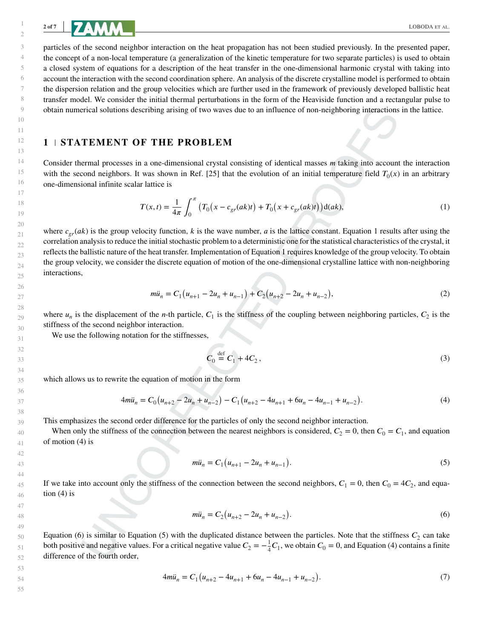particles of the second neighbor interaction on the heat propagation has not been studied previously. In the presented paper, the concept of a non-local temperature (a generalization of the kinetic temperature for two separate particles) is used to obtain a closed system of equations for a description of the heat transfer in the one-dimensional harmonic crystal with taking into account the interaction with the second coordination sphere. An analysis of the discrete crystalline model is performed to obtain the dispersion relation and the group velocities which are further used in the framework of previously developed ballistic heat transfer model. We consider the initial thermal perturbations in the form of the Heaviside function and a rectangular pulse to obtain numerical solutions describing arising of two waves due to an influence of non-neighboring interactions in the lattice.

#### **1 STATEMENT OF THE PROBLEM**

Consider thermal processes in a one-dimensional crystal consisting of identical masses m taking into account the interaction with the second neighbors. It was shown in Ref. [25] that the evolution of an initial temperature field  $T_0(x)$  in an arbitrary one-dimensional infinite scalar lattice is

$$
T(x,t) = \frac{1}{4\pi} \int_0^{\pi} \left( T_0(x - c_{gr}(ak)t) + T_0(x + c_{gr}(ak)t) \right) d(ak),
$$
 (1)

where  $c_{gr}(ak)$  is the group velocity function, k is the wave number, a is the lattice constant. Equation 1 results after using the correlation analysis to reduce the initial stochastic problem to a deterministic one for the statistical characteristics of the crystal, it reflects the ballistic nature of the heat transfer. Implementation of Equation 1 requires knowledge of the group velocity. To obtain the group velocity, we consider the discrete equation of motion of the one-dimensional crystalline lattice with non-neighboring interactions,

$$
m\ddot{u}_n = C_1(u_{n+1} - 2u_n + u_{n-1}) + C_2(u_{n+2} - 2u_n + u_{n-2}),
$$
\n(2)

where  $u_n$  is the displacement of the *n*-th particle,  $C_1$  is the stiffness of the coupling between neighboring particles,  $C_2$  is the stiffness of the second neighbor interaction.

We use the following notation for the stiffnesses,

$$
C_0 \stackrel{\text{def}}{=} C_1 + 4C_2, \tag{3}
$$

which allows us to rewrite the equation of motion in the form

$$
4m\ddot{u}_n = C_0(u_{n+2} - 2u_n + u_{n-2}) - C_1(u_{n+2} - 4u_{n+1} + 6u_n - 4u_{n-1} + u_{n-2}).
$$
\n(4)

This emphasizes the second order difference for the particles of only the second neighbor interaction.

When only the stiffness of the connection between the nearest neighbors is considered,  $C_2 = 0$ , then  $C_0 = C_1$ , and equation of motion (4) is

$$
m\ddot{u}_n = C_1 \big( u_{n+1} - 2u_n + u_{n-1} \big). \tag{5}
$$

If we take into account only the stiffness of the connection between the second neighbors,  $C_1 = 0$ , then  $C_0 = 4C_2$ , and equation  $(4)$  is

$$
m\ddot{u}_n = C_2(u_{n+2} - 2u_n + u_{n-2}).
$$
\n(6)

Equation (6) is similar to Equation (5) with the duplicated distance between the particles. Note that the stiffness  $C_2$  can take both positive and negative values. For a critical negative value  $C_2 = -\frac{1}{4}C_1$ , we obtain  $C_0 = 0$ , and Equation (4) contains a finite difference of the fourth order,

$$
4m\ddot{u}_n = C_1 \left( u_{n+2} - 4u_{n+1} + 6u_n - 4u_{n-1} + u_{n-2} \right). \tag{7}
$$

55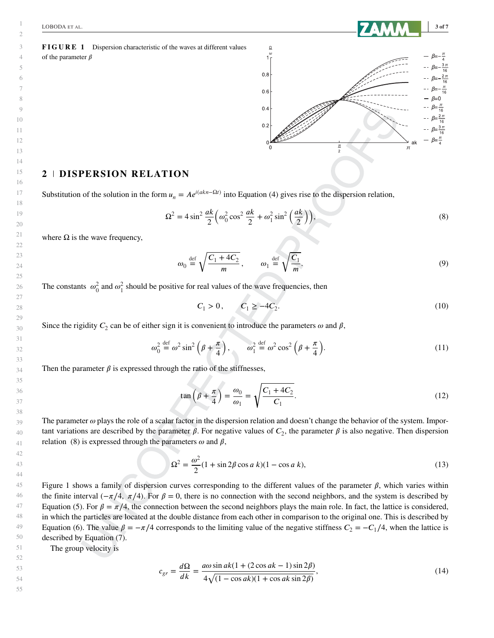



#### **2 DISPERSION RELATION**

Substitution of the solution in the form  $u_n = Ae^{i(akn - \Omega t)}$  into Equation (4) gives rise to the dispersion relation,

$$
\Omega^2 = 4\sin^2\frac{ak}{2}\left(\omega_0^2\cos^2\frac{ak}{2} + \omega_1^2\sin^2\left(\frac{ak}{2}\right)\right),\tag{8}
$$

where  $\Omega$  is the wave frequency,

$$
\omega_0 \stackrel{\text{def}}{=} \sqrt{\frac{C_1 + 4C_2}{m}}, \qquad \omega_1 \stackrel{\text{def}}{=} \sqrt{\frac{C_1}{m}}.
$$
\n(9)

The constants  $\omega_0^2$  and  $\omega_1^2$  should be positive for real values of the wave frequencies, then

$$
C_1 > 0, \qquad C_1 \ge -4C_2. \tag{10}
$$

Since the rigidity  $C_2$  can be of either sign it is convenient to introduce the parameters  $\omega$  and  $\beta$ ,

$$
\omega_0^2 \stackrel{\text{def}}{=} \omega^2 \sin^2 \left( \beta + \frac{\pi}{4} \right), \qquad \omega_1^2 \stackrel{\text{def}}{=} \omega^2 \cos^2 \left( \beta + \frac{\pi}{4} \right). \tag{11}
$$

Then the parameter  $\beta$  is expressed through the ratio of the stiffnesses,

$$
\tan\left(\beta + \frac{\pi}{4}\right) = \frac{\omega_0}{\omega_1} = \sqrt{\frac{C_1 + 4C_2}{C_1}}.\tag{12}
$$

The parameter  $\omega$  plays the role of a scalar factor in the dispersion relation and doesn't change the behavior of the system. Important variations are described by the parameter  $\beta$ . For negative values of  $C_2$ , the parameter  $\beta$  is also negative. Then dispersion relation (8) is expressed through the parameters  $\omega$  and  $\beta$ ,

$$
\Omega^2 = \frac{\omega^2}{2} (1 + \sin 2\beta \cos a \ k)(1 - \cos a \ k),\tag{13}
$$

Figure 1 shows a family of dispersion curves corresponding to the different values of the parameter  $\beta$ , which varies within the finite interval ( $-\pi/4$ ,  $\pi/4$ ). For  $\beta = 0$ , there is no connection with the second neighbors, and the system is described by Equation (5). For  $\beta = \pi/4$ , the connection between the second neighbors plays the main role. In fact, the lattice is considered, in which the particles are located at the double distance from each other in comparison to the original one. This is described by Equation (6). The value  $\beta = -\pi/4$  corresponds to the limiting value of the negative stiffness  $C_2 = -C_1/4$ , when the lattice is described by Equation (7).

The group velocity is

$$
c_{gr} = \frac{d\Omega}{dk} = \frac{a\omega\sin ak(1 + (2\cos ak - 1)\sin 2\beta)}{4\sqrt{(1 - \cos ak)(1 + \cos ak\sin 2\beta)}},\tag{14}
$$

54 55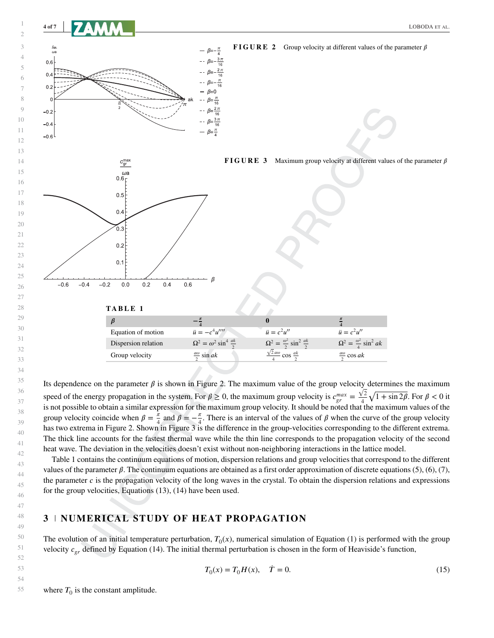



Its dependence on the parameter  $\beta$  is shown in Figure 2. The maximum value of the group velocity determines the maximum speed of the energy propagation in the system. For  $\beta \ge 0$ , the maximum group velocity is  $c_{gr}^{max} = \frac{\sqrt{2}}{4}$  $\frac{\sqrt{2}}{4}\sqrt{1+\sin 2\beta}$ . For  $\beta < 0$  it is not possible to obtain a similar expression for the maximum group velocity. It should be noted that the maximum values of the group velocity coincide when  $\beta = \frac{\pi}{4}$  and  $\beta = -\frac{\pi}{4}$ . There is an interval of the values of  $\beta$  when the curve of the group velocity has two extrema in Figure 2. Shown in Figure 3 is the difference in the group-velocities corresponding to the different extrema. The thick line accounts for the fastest thermal wave while the thin line corresponds to the propagation velocity of the second heat wave. The deviation in the velocities doesn't exist without non-neighboring interactions in the lattice model.

Table 1 contains the continuum equations of motion, dispersion relations and group velocities that correspond to the different values of the parameter  $\beta$ . The continuum equations are obtained as a first order approximation of discrete equations (5), (6), (7), the parameter  $c$  is the propagation velocity of the long waves in the crystal. To obtain the dispersion relations and expressions for the group velocities, Equations (13), (14) have been used.

## **NUMERICAL STUDY OF HEAT PROPAGATION**

The evolution of an initial temperature perturbation,  $T_0(x)$ , numerical simulation of Equation (1) is performed with the group velocity  $c_{gr}$  defined by Equation (14). The initial thermal perturbation is chosen in the form of Heaviside's function,

$$
T_0(x) = T_0 H(x), \quad \dot{T} = 0.
$$
 (15)

where  $T_0$  is the constant amplitude.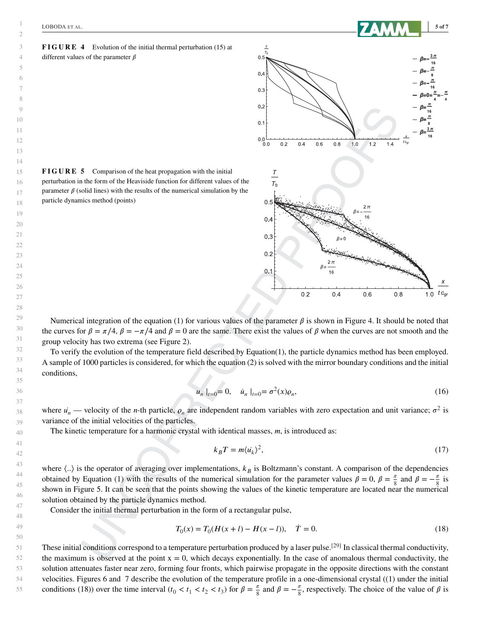

**FIGURE 4** Evolution of the initial thermal perturbation (15) at different values of the parameter  $\beta$ 

**FIGURE 5** Comparison of the heat propagation with the initial perturbation in the form of the Heaviside function for different values of the parameter  $\beta$  (solid lines) with the results of the numerical simulation by the particle dynamics method (points)



 $\tau_{\alpha}$  $\overline{0}$ .

 $0.4$ 

 $0.3$  $0.2$ 

 $0.1$ 

 $0.0$  $0.0$ 

 $0.2$ 

 $rac{\tau}{\tau_0}$ 

 $0.5$ 

 $0.4$ 

 $0.3$ 

 $0.4$ 

 $0.6$ 

 $0.8$ 

 $1.0$ 

 $1.2$ 

 $1.4$ 

Numerical integration of the equation (1) for various values of the parameter  $\beta$  is shown in Figure 4. It should be noted that the curves for  $\beta = \pi/4$ ,  $\beta = -\pi/4$  and  $\beta = 0$  are the same. There exist the values of  $\beta$  when the curves are not smooth and the group velocity has two extrema (see Figure 2).

To verify the evolution of the temperature field described by Equation(1), the particle dynamics method has been employed. A sample of 1000 particles is considered, for which the equation (2) is solved with the mirror boundary conditions and the initial conditions,

$$
u_n |_{t=0} = 0, \quad \dot{u}_n |_{t=0} = \sigma^2(x)\rho_n,\tag{16}
$$

where  $u_n$  — velocity of the *n*-th particle,  $\rho_n$  are independent random variables with zero expectation and unit variance;  $\sigma^2$  is variance of the initial velocities of the particles.

The kinetic temperature for a harmonic crystal with identical masses,  $m$ , is introduced as:

$$
k_B T = m \langle u_k \rangle^2, \tag{17}
$$

where  $\langle . \rangle$  is the operator of averaging over implementations,  $k_B$  is Boltzmann's constant. A comparison of the dependencies obtained by Equation (1) with the results of the numerical simulation for the parameter values  $\beta = 0$ ,  $\beta = \frac{\pi}{8}$  and  $\beta = -\frac{\pi}{8}$  is shown in Figure 5. It can be seen that the points showing the values of the kinetic temperature are located near the numerical solution obtained by the particle dynamics method.

Consider the initial thermal perturbation in the form of a rectangular pulse,

$$
T_0(x) = T_0(H(x+l) - H(x-l)), \quad \dot{T} = 0.
$$
\n(18)

These initial conditions correspond to a temperature perturbation produced by a laser pulse.<sup>[29]</sup> In classical thermal conductivity, the maximum is observed at the point  $x = 0$ , which decays exponentially. In the case of anomalous thermal conductivity, the solution attenuates faster near zero, forming four fronts, which pairwise propagate in the opposite directions with the constant velocities. Figures 6 and 7 describe the evolution of the temperature profile in a one-dimensional crystal ((1) under the initial conditions (18)) over the time interval  $(t_0 < t_1 < t_2 < t_3)$  for  $\beta = \frac{\pi}{8}$  and  $\beta = -\frac{\pi}{8}$ , respectively. The choice of the value of  $\beta$  is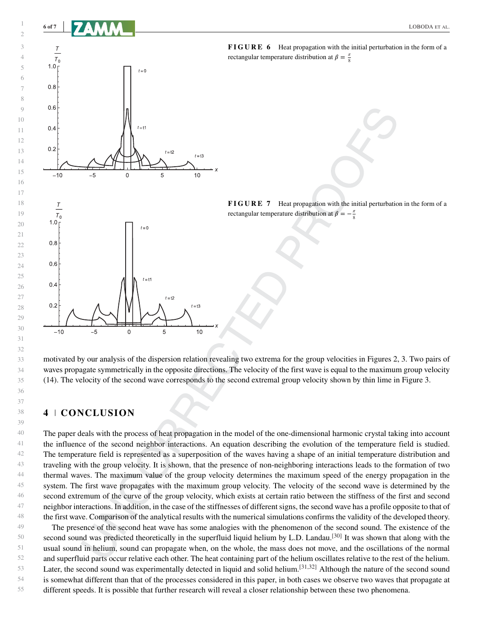

**FIGURE 6** Heat propagation with the initial perturbation in the form of a

**FIGURE 7** Heat propagation with the initial perturbation in the form of a

motivated by our analysis of the dispersion relation revealing two extrema for the group velocities in Figures 2, 3. Two pairs of waves propagate symmetrically in the opposite directions. The velocity of the first wave is equal to the maximum group velocity (14). The velocity of the second wave corresponds to the second extremal group velocity shown by thin lime in Figure 3.

#### **4 CONCLUSION**

 $-5$ 

 $\mathsf{O}\xspace$ 

5

 $10$ 

 $-10$ 

The paper deals with the process of heat propagation in the model of the one-dimensional harmonic crystal taking into account the influence of the second neighbor interactions. An equation describing the evolution of the temperature field is studied. The temperature field is represented as a superposition of the waves having a shape of an initial temperature distribution and traveling with the group velocity. It is shown, that the presence of non-neighboring interactions leads to the formation of two thermal waves. The maximum value of the group velocity determines the maximum speed of the energy propagation in the system. The first wave propagates with the maximum group velocity. The velocity of the second wave is determined by the second extremum of the curve of the group velocity, which exists at certain ratio between the stiffness of the first and second neighbor interactions. In addition, in the case of the stiffnesses of different signs, the second wave has a profile opposite to that of the first wave. Comparison of the analytical results with the numerical simulations confirms the validity of the developed theory.

50 51 52 53 54 55 The presence of the second heat wave has some analogies with the phenomenon of the second sound. The existence of the second sound was predicted theoretically in the superfluid liquid helium by L.D. Landau.<sup>[30]</sup> It was shown that along with the usual sound in helium, sound can propagate when, on the whole, the mass does not move, and the oscillations of the normal and superfluid parts occur relative each other. The heat containing part of the helium oscillates relative to the rest of the helium. Later, the second sound was experimentally detected in liquid and solid helium.<sup>[31,32]</sup> Although the nature of the second sound is somewhat different than that of the processes considered in this paper, in both cases we observe two waves that propagate at different speeds. It is possible that further research will reveal a closer relationship between these two phenomena.